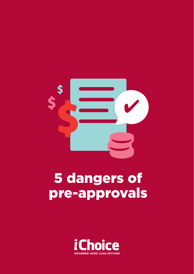

# 5 dangers of pre-approvals

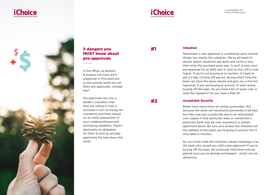





# 5 dangers you MUST know about pre-approvals

In the office, us bankers & brokers call them AIP's (Approval in Principle) but to the outside world we call them pre-approvals…strange hey?

Pre-approvals are only a lender's indication that they are willing to loan a borrower a sum of money for a property purchase, based on an initial assessment of your creditworthiness and borrowing capability. There's absolutely no obligation for them to end up actually approving the loan down the track!

# #1

#### Valuation

Remember a 'pre-approval' is conditional upon several things, but mainly the valuation. We've all heard of stories where valuations get done and come in less than what the purchase price was. In such a case, your pre-approval for an 80% loan is void, as the LVR is now higher. If you're not buying at an auction, it's best to get a 5-day Cooling Off period, during which time the bank can have the place valued and give you a Formal Approval. If you are buying at auction, or even worse, buying off-the-plan, do you have a bit of spare cash in case this happens? Do you have a Plan B?

# #2

### Acceptable Security

Banks have restrictions on certain postcodes. Not because the areas are necessarily perceived to be bad, but they may ban a postcode due to an anticipated over supply in that particular area, or sometimes a particular bank may be over-exposed in a certain apartment block. Be sure your broker has checked out the address of the place you're going to auction for! It only takes 5 minutes…

Do you know what the minimum square meterage is by the bank who issued you with a pre-approval? if you're buying off-the-plan, the postcode restriction may be placed once you've already exchanged – which can be disastrous.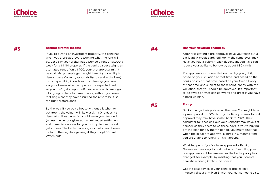



# #3

#### Assumed rental income

If you're buying an investment property, the bank has given you a pre-approval assuming what the rent will be. Let's say your broker has assumed a rent of \$1,000 a week for a \$1.4M property. If the banks valuer assigns an estimated rent of only \$700, your pre-approval might be void. Many people get caught here. If your ability to demonstrate Capacity (your ability to service the loan) just scraped it in, know how much leeway you have... ask your broker what he input as the expected rent… so you don't get caught out! Inexperienced brokers go a bit gung ho here to make it work, without you even realising what they have assumed the rent to be. Use the right professionals.

By the way, if you buy a house without a kitchen or bathroom, the valuer will likely assign \$0 rent, as it's deemed unliveable, which could leave you stranded (unless the vendor gives you an extended settlement and immediate access for you fix it up before the val gets done). The banks servicing calculator won't even factor in the negative gearing if they adopt \$0 rent. Watch out!

#4

#### Has your situation changed?

After first getting a pre-approval, have you taken out a car loan? A credit card? Still doing the same overtime? Have you had a baby?? (each dependant you have can reduce your ability to borrow by about \$80,000!)

Pre-approvals just mean that on the day you got it, based on your situation at that time, and based on the banks policy at that time, based on your Credit Policy at that time, and subject to them being happy with the valuation, that you should be approved. It's important to be aware of what can go wrong and great if you have a back-up plan.

#5

#### **Policy**

Banks change their policies all the time. You might have a pre-approval for 80%, but by the time you seek formal approval they may have scaled back to 70%! Their calculator for checking out your Capacity may have got harsher, as they seem to be these days. If you're buying off-the-plan for a 9-month period, you might find that when the initial pre-approval expires in 6 months' time. you are unable to renew it. This happens.

What happens if you've been approved a Family Guarantee loan, only to find that after 6 months, your pre-approval cant be renewed as the banks policy has changed, for example, by insisting that your parents hare still working (watch this space).

Get the best advice. If your bank or broker isn't intensely discussing Plan B with you, get someone else.